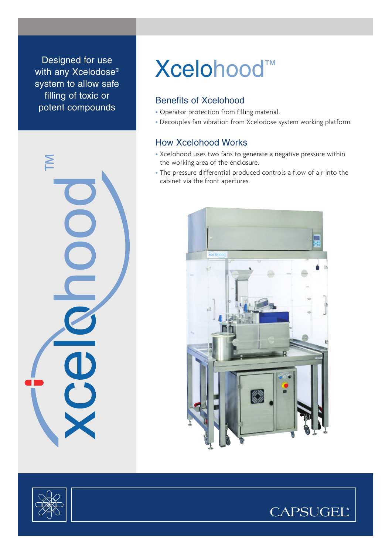Designed for use with any Xcelodose<sup>®</sup> system to allow safe filling of toxic or potent compounds



# Xcelohood™

### Benefits of Xcelohood

- Operator protection from filling material.
- Decouples fan vibration from Xcelodose system working platform.

## How Xcelohood Works

- Xcelohood uses two fans to generate a negative pressure within the working area of the enclosure.
- The pressure differential produced controls a flow of air into the cabinet via the front apertures.